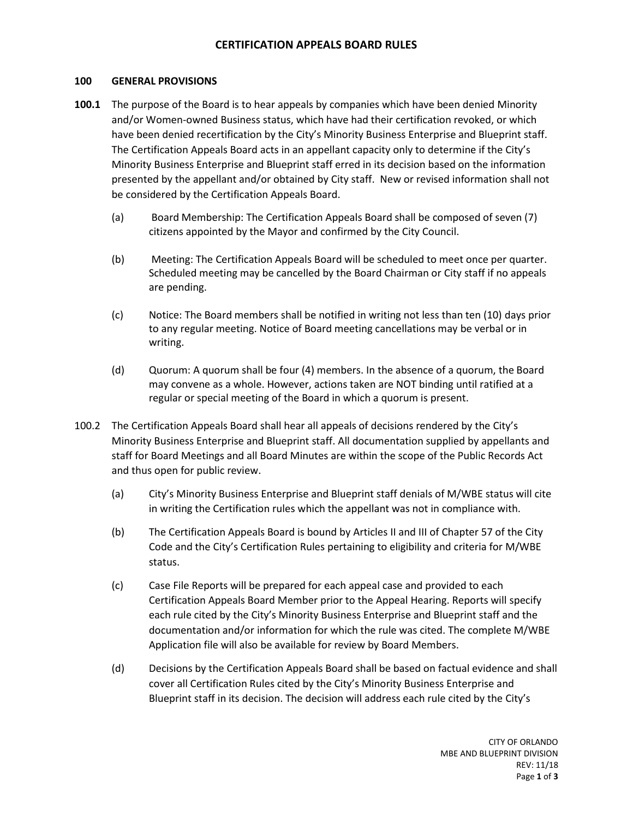# **CERTIFICATION APPEALS BOARD RULES**

#### **100 GENERAL PROVISIONS**

- **100.1** The purpose of the Board is to hear appeals by companies which have been denied Minority and/or Women-owned Business status, which have had their certification revoked, or which have been denied recertification by the City's Minority Business Enterprise and Blueprint staff. The Certification Appeals Board acts in an appellant capacity only to determine if the City's Minority Business Enterprise and Blueprint staff erred in its decision based on the information presented by the appellant and/or obtained by City staff. New or revised information shall not be considered by the Certification Appeals Board.
	- (a) Board Membership: The Certification Appeals Board shall be composed of seven (7) citizens appointed by the Mayor and confirmed by the City Council.
	- (b) Meeting: The Certification Appeals Board will be scheduled to meet once per quarter. Scheduled meeting may be cancelled by the Board Chairman or City staff if no appeals are pending.
	- (c) Notice: The Board members shall be notified in writing not less than ten (10) days prior to any regular meeting. Notice of Board meeting cancellations may be verbal or in writing.
	- (d) Quorum: A quorum shall be four (4) members. In the absence of a quorum, the Board may convene as a whole. However, actions taken are NOT binding until ratified at a regular or special meeting of the Board in which a quorum is present.
- 100.2 The Certification Appeals Board shall hear all appeals of decisions rendered by the City's Minority Business Enterprise and Blueprint staff. All documentation supplied by appellants and staff for Board Meetings and all Board Minutes are within the scope of the Public Records Act and thus open for public review.
	- (a) City's Minority Business Enterprise and Blueprint staff denials of M/WBE status will cite in writing the Certification rules which the appellant was not in compliance with.
	- (b) The Certification Appeals Board is bound by Articles II and III of Chapter 57 of the City Code and the City's Certification Rules pertaining to eligibility and criteria for M/WBE status.
	- (c) Case File Reports will be prepared for each appeal case and provided to each Certification Appeals Board Member prior to the Appeal Hearing. Reports will specify each rule cited by the City's Minority Business Enterprise and Blueprint staff and the documentation and/or information for which the rule was cited. The complete M/WBE Application file will also be available for review by Board Members.
	- (d) Decisions by the Certification Appeals Board shall be based on factual evidence and shall cover all Certification Rules cited by the City's Minority Business Enterprise and Blueprint staff in its decision. The decision will address each rule cited by the City's

CITY OF ORLANDO MBE AND BLUEPRINT DIVISION REV: 11/18 Page **1** of **3**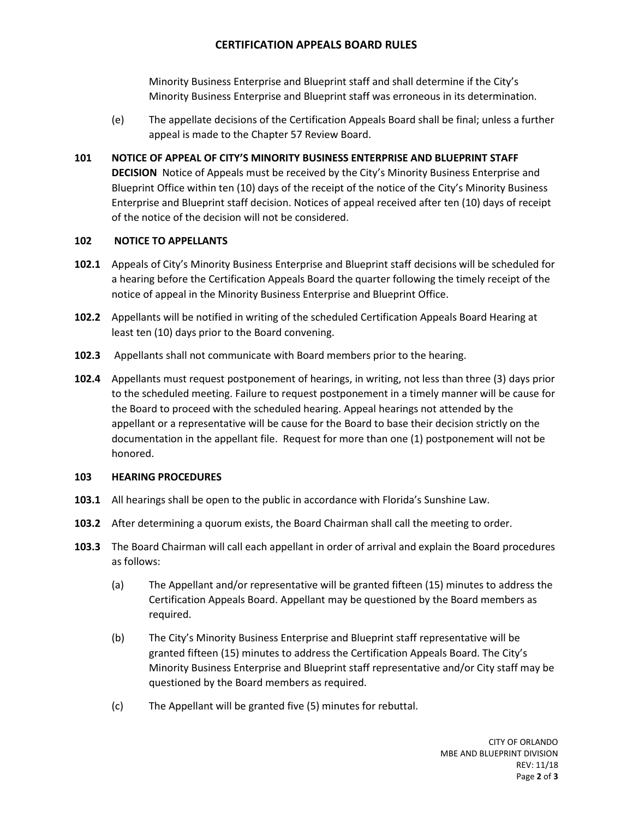# **CERTIFICATION APPEALS BOARD RULES**

Minority Business Enterprise and Blueprint staff and shall determine if the City's Minority Business Enterprise and Blueprint staff was erroneous in its determination.

(e) The appellate decisions of the Certification Appeals Board shall be final; unless a further appeal is made to the Chapter 57 Review Board.

### **101 NOTICE OF APPEAL OF CITY'S MINORITY BUSINESS ENTERPRISE AND BLUEPRINT STAFF**

**DECISION** Notice of Appeals must be received by the City's Minority Business Enterprise and Blueprint Office within ten (10) days of the receipt of the notice of the City's Minority Business Enterprise and Blueprint staff decision. Notices of appeal received after ten (10) days of receipt of the notice of the decision will not be considered.

#### **102 NOTICE TO APPELLANTS**

- **102.1** Appeals of City's Minority Business Enterprise and Blueprint staff decisions will be scheduled for a hearing before the Certification Appeals Board the quarter following the timely receipt of the notice of appeal in the Minority Business Enterprise and Blueprint Office.
- **102.2** Appellants will be notified in writing of the scheduled Certification Appeals Board Hearing at least ten (10) days prior to the Board convening.
- **102.3** Appellants shall not communicate with Board members prior to the hearing.
- **102.4** Appellants must request postponement of hearings, in writing, not less than three (3) days prior to the scheduled meeting. Failure to request postponement in a timely manner will be cause for the Board to proceed with the scheduled hearing. Appeal hearings not attended by the appellant or a representative will be cause for the Board to base their decision strictly on the documentation in the appellant file. Request for more than one (1) postponement will not be honored.

#### **103 HEARING PROCEDURES**

- **103.1** All hearings shall be open to the public in accordance with Florida's Sunshine Law.
- **103.2** After determining a quorum exists, the Board Chairman shall call the meeting to order.
- **103.3** The Board Chairman will call each appellant in order of arrival and explain the Board procedures as follows:
	- (a) The Appellant and/or representative will be granted fifteen (15) minutes to address the Certification Appeals Board. Appellant may be questioned by the Board members as required.
	- (b) The City's Minority Business Enterprise and Blueprint staff representative will be granted fifteen (15) minutes to address the Certification Appeals Board. The City's Minority Business Enterprise and Blueprint staff representative and/or City staff may be questioned by the Board members as required.
	- (c) The Appellant will be granted five (5) minutes for rebuttal.